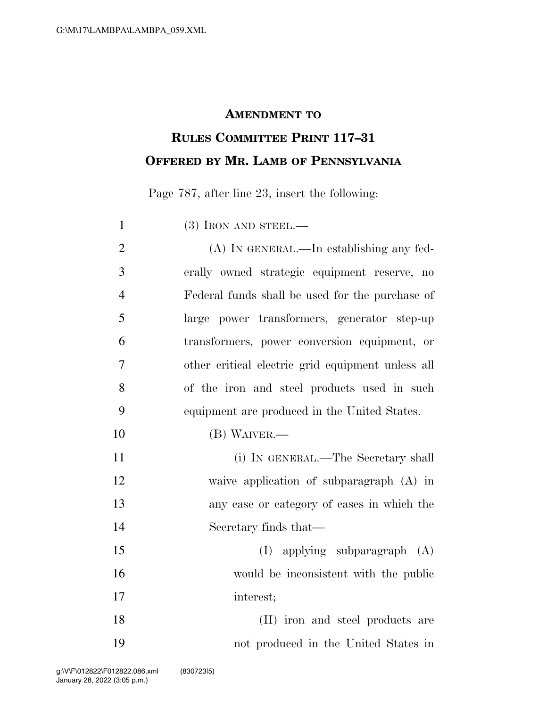## **AMENDMENT TO**

## **RULES COMMITTEE PRINT 117–31 OFFERED BY MR. LAMB OF PENNSYLVANIA**

Page 787, after line 23, insert the following:

1 (3) IRON AND STEEL.— (A) IN GENERAL.—In establishing any fed- erally owned strategic equipment reserve, no Federal funds shall be used for the purchase of large power transformers, generator step-up transformers, power conversion equipment, or other critical electric grid equipment unless all of the iron and steel products used in such equipment are produced in the United States. (B) WAIVER.— (i) IN GENERAL.—The Secretary shall waive application of subparagraph (A) in any case or category of cases in which the Secretary finds that— (I) applying subparagraph (A) would be inconsistent with the public interest; 18 (II) iron and steel products are not produced in the United States in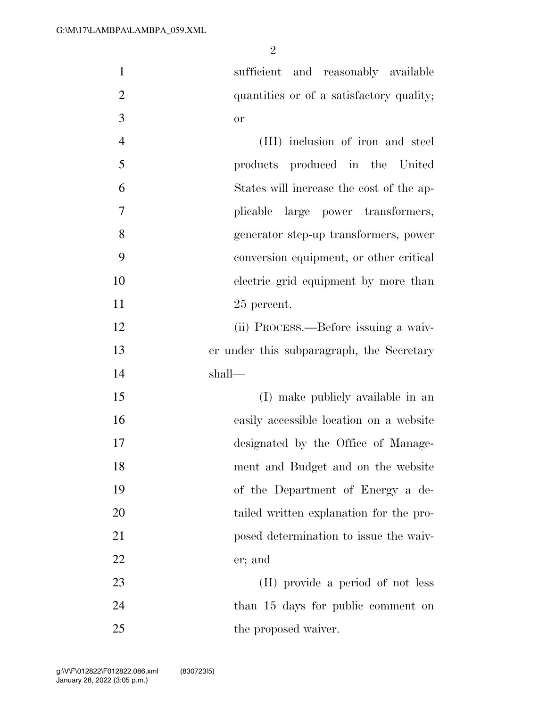$\mathfrak{D}$ 

 sufficient and reasonably available 2 quantities or of a satisfactory quality; or

 (III) inclusion of iron and steel products produced in the United States will increase the cost of the ap- plicable large power transformers, generator step-up transformers, power conversion equipment, or other critical electric grid equipment by more than 25 percent.

 (ii) PROCESS.—Before issuing a waiv- er under this subparagraph, the Secretary shall—

15 (I) make publicly available in an easily accessible location on a website designated by the Office of Manage- ment and Budget and on the website of the Department of Energy a de-20 tailed written explanation for the pro- posed determination to issue the waiv-er; and

 (II) provide a period of not less 24 than 15 days for public comment on 25 the proposed waiver.